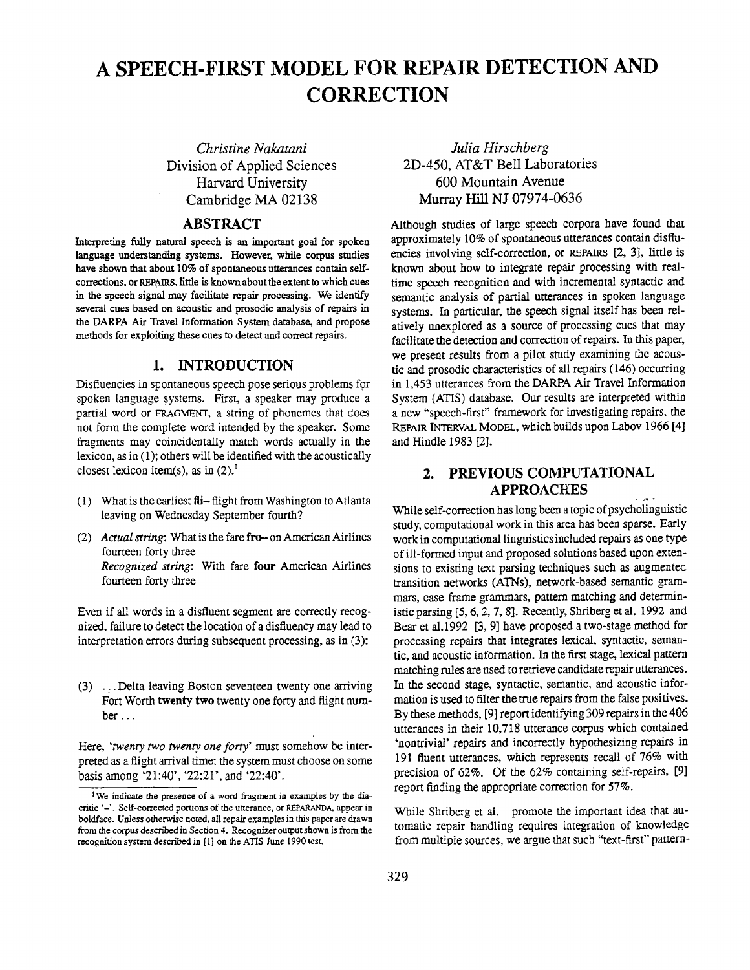# **A SPEECH-FIRST MODEL FOR REPAIR DETECTION AND CORRECTION**

*Christine Nakatani*  Division of Applied Sciences Harvard University Cambridge MA 02138

## **ABSTRACT**

Interpreting fully natural speech is an important goal for spoken language understanding systems. However, while corpus studies have shown that about 10% of spontaneous utterances contain selfcorrections, or REPAIRS, little is known about the extent to which cues in the speech signal may facilitate repair processing. We identify several cues based on acoustic and prosodic analysis of repairs in the DARPA Air Travel Information System database, and propose methods for exploiting these cues to detect and correct repairs.

## **1. INTRODUCTION**

Disfluencies in spontaneous speech pose serious problems for spoken language systems. First, a speaker may produce a partial word or FRAGMENT, a string of phonemes that does not form the complete word intended by the speaker. Some fragments may coincidentally match words actually in the lexicon, as in (1); others will be identified with the acoustically closest lexicon item(s), as in  $(2)$ .<sup>1</sup>

- (1) What is the earliest  $\mathbf{f}$  flight from Washington to Atlanta leaving on Wednesday September fourth?
- (2) *Actual string:* What is the fare fro-- on American Airlines fourteen forty three *Recognized string:* With fare four American Airlines fourteen forty three

Even if all words in a disfluent segment are correctly recognized, failure to detect the location of a disfluency may lead to interpretation errors during subsequent processing, as in (3):

(3) ... Delta leaving Boston seventeen twenty one arriving Fort Worth twenty two twenty one forty and flight number...

Here, *'twenty two twenty one forty'* must somehow be interpreted as a flight arrival time; the system must choose on some basis among '21:40', '22:21', and '22:40'.

*Julia Hirschberg*  2D-450, AT&T Bell Laboratories 600 Mountain Avenue Murray Hill NJ 07974-0636

Although studies of large speech corpora have found that approximately 10% of spontaneous utterances contain disfluencies involving self-correction, or REPArRS [2, 3], little is known about how to integrate repair processing with realtime speech recognition and with incremental syntactic and semantic analysis of partial utterances in spoken language systems. In particular, the speech signal itself has been relatively unexplored as a source of processing cues that may facilitate the detection and correction of repairs. In this paper, we present results from a pilot study examining the acoustic and prosodic characteristics of all repairs (146) occurring in 1,453 utterances from the DARPA Air Travel Information System (ATIS) database. Our results are interpreted within a new "speech-first" framework for investigating repairs, the REPAIR INTERVAL MODEL, which builds upon Labov 1966 [4] and Hindle 1983 [2].

# 2. PREVIOUS COMPUTATIONAL **APPROACHES**

While self-correction has long been a topic of psycholinguistic study, computational work in this area has been sparse. Early work in computational linguistics included repairs as one type of ill-formed input and proposed solutions based upon extensions to existing text parsing techniques such as augmented transition networks (ATNs), network-based semantic grammars, case frame grammars, pattern matching and deterministic parsing [5, 6, 2, 7, 8]. Recently, Shriberg et al. 1992 and Bear et al.1992 [3, 9] have proposed a two-stage method for processing repairs that integrates lexical, syntactic, semantic, and acoustic information. In the first stage, lexical pattern matching rules are used to retrieve candidate repair utterances. In the second stage, syntactic, semantic, and acoustic information is used to filter the true repairs from the false positives. By these methods, [9] report identifying 309 repairs in the 406 utterances in their 10,718 utterance corpus which contained 'nontrivial' repairs and incorrectly hypothesizing repairs in 191 fluent utterances, which represents recall of 76% with precision of 62%. Of the 62% containing self-repairs, [9] report finding the appropriate correction for 57%.

While Shriberg et al. promote the important idea that automatic repair handling requires integration of knowledge from multiple sources, we argue that such "text-first" pattern-

<sup>&</sup>lt;sup>1</sup>We indicate the presence of a word fragment in examples by the diacritic '-'. Self-corrected portions of the utterance, or REPARANDA, appear in boldface. Unless otherwise noted, all repair examples ia this paper are drawn from the corpus described in Section 4. Recognizer output shown is from the recognition system described in [1] on the ATIS lune 1990 test.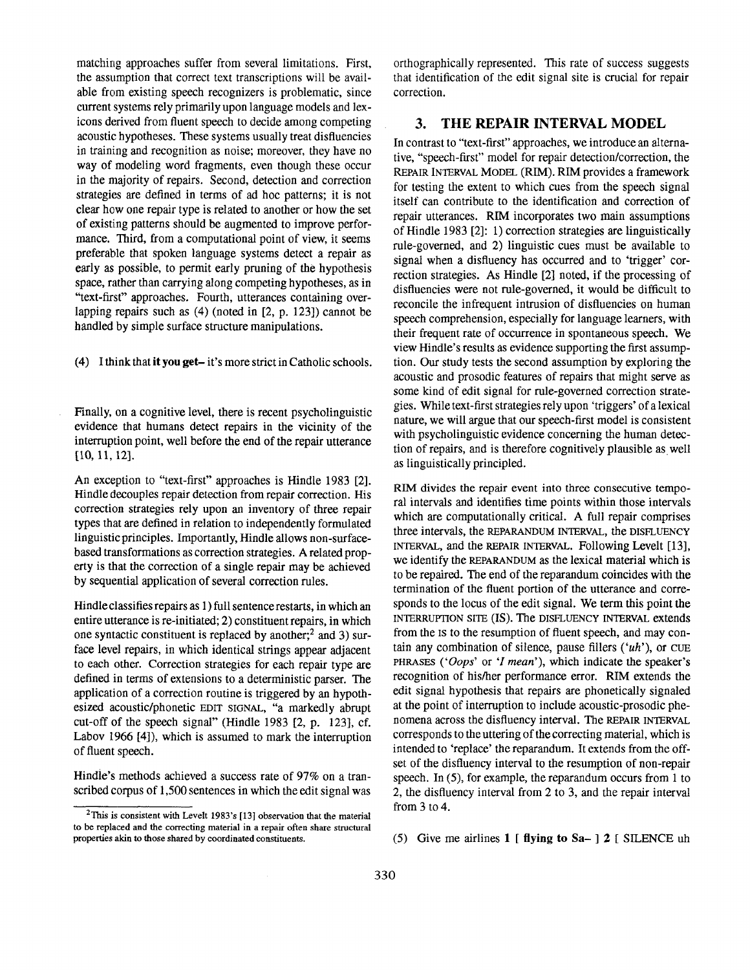matching approaches suffer from several limitations. First, the assumption that correct text transcriptions will be available from existing speech recognizers is problematic, since current systems rely primarily upon language models and lexicons derived from fluent speech to decide among competing acoustic hypotheses. These systems usually treat disfluencies in trainimg and recognition as noise; moreover, they have no way of modeling word fragments, even though these occur in the majority of repairs. Second, detection and correction strategies are defined in terms of ad hoc patterns; it is not clear how one repair type is related to another or how the set of existing patterns should be augmented to improve performance. Third, from a computational point of view, it seems preferable that spoken language systems detect a repair as early as possible, to permit early pruning of the hypothesis space, rather than carrying along competing hypotheses, as in "text-first" approaches. Fourth, utterances containing overlapping repairs such as (4) (noted in [2, p. 123]) cannot be handled by simple surface structure manipulations.

(4) I think that it you get- it's more strict in Catholic schools.

Finally, on a cognitive level, there is recent psycholinguistic evidence that humans detect repairs in the vicinity of the interruption point, well before the end of the repair utterance [10, 11, 12].

An exception to "text-first" approaches is Hindle 1983 [2]. Hindle decouples repair detection from repair correction. His correction strategies rely upon an inventory of three repair types that are defined in relation to independently formulated linguistic principles. Importantly, Hindle allows non-surfacebased transformations as correction strategies. A related property is that the correction of a single repair may be achieved by sequential application of several correction rules.

Hindle classifies repairs as 1) full sentence restarts, in which an entire utterance is re-initiated; 2) constituent repairs, in which one syntactic constituent is replaced by another; $<sup>2</sup>$  and 3) sur-</sup> face level repairs, in which identical strings appear adjacent to each other. Correction strategies for each repair type are defined in terms of extensions to a deterministic parser. The application of a correction routine is triggered by an hypothesized acoustic/phonetic EDIT SIGNAL, "a markedly abrupt cut-off of the speech signal" (Hindle 1983 [2, p. 123], cf. Labov 1966 [4]), which is assumed to mark the interruption of fluent speech.

Hindie's methods achieved a success rate of 97% on a transcribed corpus of 1,500 sentences in which the edit signal was orthographically represented. This rate of success suggests that identification of the edit signal site is crucial for repair correction.

#### **3. THE REPAIR INTERVAL MODEL**

In contrast to "text-first" approaches, we introduce an alternative, "speech-first" model for repair detection/correction, the REPAIR INTERVAL MODEL (RIM). RIM provides a framework for testing the extent to which cues from the speech signal itself can contribute to the identification and correction of repair utterances. RIM incorporates two main assumptions of Hindle 1983 [2]: 1) correction strategies are linguistically rule-governed, and 2) linguistic cues must be available to signal when a disfluency has occurred and to 'trigger' correction strategies. As Hindle [2] noted, if the processing of disfluencies were not rule-governed, it would be difficult to reconcile the infrequent intrusion of disfluencies on human speech comprehension, especially for language learners, with their frequent rate of occurrence in spontaneous speech. We view Hindle's results as evidence supporting the first assumption. Our study tests the second assumption by exploring the acoustic and prosodic features of repairs that might serve as some kind of edit signal for rule-governed correction strategies. While text-first strategies rely upon 'triggers' of a lexical nature, we will argue that our speech-first model is consistent with psycholinguistic evidence concerning the human detection of repairs, and is therefore cognitively plausible as well as linguistically principled.

RIM divides the repair event into three consecutive temporal intervals and identifies time points within those intervals which are computationally critical. A full repair comprises three intervals, the REPARANDUM INTERVAL, the DISFLUENCY INTERVAL, and the REPAIR INTERVAL. Following Levelt [13], we identify the REPARANDUM as the lexical material which is to be repaired. The end of the reparandum coincides with the termination of the fluent portion of the utterance and corresponds to the locus of the edit signal. We term this point the INTERRUPTION SITE (IS). The DISFLUENCY INTERVAL extends from the IS to the resumption of fluent speech, and may contain any combination of silence, pause fillers  $('uh')$ , or CUE PHRASES *('Oops'* or 'I *mean'),* which indicate the speaker's recognition of his/her performance error. RIM extends the edit signal hypothesis that repairs are phonetically signaled at the point of interruption to include acoustic-prosodic phenomena across the disfluency interval. The REPAIR INTERVAL corresponds to the uttering of the correcting material, which is intended to 'replace' the reparandum. It extends from the offset of the disfluency interval to the resumption of non-repair speech. In (5), for example, the reparandum occurs from 1 to 2, the disfluency interval from 2 to 3, and the repair interval from 3 to 4.

(5) Give me airlines  $1$  [ flying to Sa- ] 2 [ SILENCE uh

<sup>2</sup>This is consistent with Levelt 1983's [13] observation that the material to be replaced and the correcting material in a repair often share structural properties akin to those shared by coordinated constituents.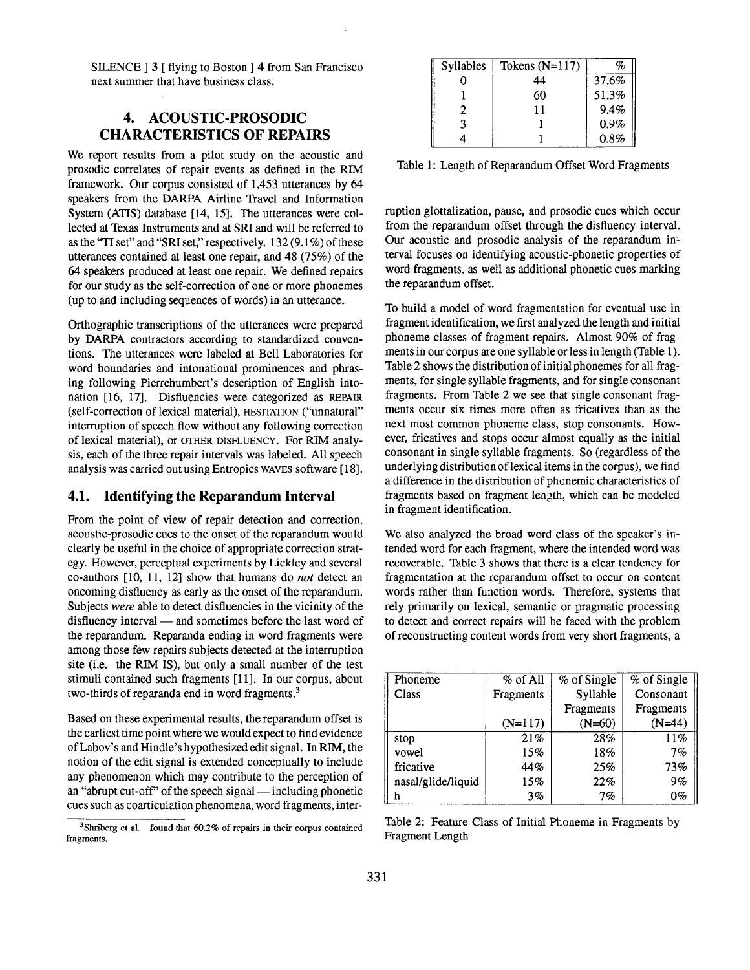SILENCE ] 3 [ flying to Boston ] 4 from San Francisco next summer that have business class.

# **4.** ACOUSTIC-PROSODIC **CHARACTERISTICS OF REPAIRS**

We report results from a pilot study on the acoustic and prosodic correlates of repair events as defined in the RIM framework. Our corpus consisted of 1,453 utterances by 64 speakers from the DARPA Airline Travel and Information System (ATIS) database [14, 15]. The utterances were collected at Texas Instruments and at SRI and will be referred to as the"TI set" and "SRI set," respectively. 132 (9.1%) of these utterances contained at least one repair, and 48 (75%) of the 64 speakers produced at least one repair. We defined repairs for our study as the self-correction of one or more phonemes (up to and including sequences of words) in an utterance.

Orthographic transcriptions of the utterances were prepared by DARPA contractors according to standardized conventions. The utterances were labeled at Bell Laboratories for word boundaries and intonational prominences and phrasing following Pierrehumbert's description of English intonation [16, 17]. Disfluencies were categorized as REPAIR (self-correction of lexicai material), HESITATION ("unnatural" interruption of speech flow without any following correction of lexical material), or OTHER DISFLUENCY. For RIM analysis, each of the three repair intervals was labeled. All speech analysis was carried out using Entropics WAVES software [ 18].

#### **4.1. Identifying the Reparandum Interval**

From the point of view of repair detection and correction, acoustic-prosodic cues to the onset of the reparandum would clearly be useful in the choice of appropriate correction strategy. However, perceptual experiments by Lickley and several co-authors [10, 11, 12] show that humans do *not* detect an oncoming disfluency as early as the onset of the reparandum. Subjects *were* able to detect disfluencies in the vicinity of the disfluency interval — and sometimes before the last word of the reparandum. Reparanda ending in word fragments were among those few repairs subjects detected at the interruption site (i.e. the RIM IS), but only a small number of the test stimuli contained such fragments [11]. In our corpus, about two-thirds of reparanda end in word fragments.<sup>3</sup>

Based on these experimental results, the reparandum offset is the earliest time point where we would expect to find evidence of Labov's and Hindle's hypothesized edit signal. In RIM, the notion of the edit signal is extended conceptually to include any phenomenon which may contribute to the perception of an "abrupt cut-off" of the speech signal  $-$  including phonetic cues such as coarticulation phenomena, word fragments, inter-

3Shriberg et al. found that 60.2% of repairs in their corpus contained fragments.

| Syllables | Tokens $(N=117)$ | oj,   |
|-----------|------------------|-------|
|           | 44               | 37.6% |
|           | 60               | 51.3% |
|           |                  | 9.4%  |
|           |                  | 0.9%  |
|           |                  | 0.8%  |

Table 1: Length of Reparandum Offset Word Fragments

ruption glottalization, pause, and prosodic cues which occur from the reparandum offset through the disfluency interval. Our acoustic and prosodic analysis of the reparandum in= terval focuses on identifying acoustic-phonetic properties of word fragments, as well as additional phonetic cues marking the reparandum offset.

To build a model of word fragmentation for eventual use in fragment identification, we first analyzed the length and initial phoneme classes of fragment repairs. Almost 90% of fragments in our corpus are one syllable or less in length (Table 1). Table 2 shows the distribution of initial phonemes for all fragments, for single syllable fragments, and for single consonant fragments. From Table 2 we see that single consonant fragments occur six times more often as fricatives than as the next most common phoneme class, stop consonants. However, fricatives and stops occur almost equally as the initial consonant in single syllable fragments. So (regardless of the underlying distribution of lexical items in the corpus), we find a difference in the distribution of phonemic characteristics of fragments based on fragment length, which can be modeled in fragment identification.

We also analyzed the broad word class of the speaker's intended word for each fragment, where the intended word was recoverable. Table 3 shows that there is a clear tendency for fragmentation at the reparandum offset to occur on content words rather than function words. Therefore, systems that rely primarily on lexical, semantic or pragmatic processing to detect and correct repairs will be faced with the problem of reconstructing content words from very short fragments, a

| Phoneme            | % of All  | % of Single | % of Single |  |
|--------------------|-----------|-------------|-------------|--|
| Class              | Fragments | Syllable    | Consonant   |  |
|                    |           | Fragments   | Fragments   |  |
|                    | $(N=117)$ | $(N=60)$    | $(N=44)$    |  |
| stop               | 21%       | 28%         | 11%         |  |
| vowel              | 15%       | 18%         | 7%          |  |
| fricative          | 44%       | 25%         | 73%         |  |
| nasal/glide/liquid | 15%       | 22%         | 9%          |  |
| h                  | 3%        | $7\%$       | 0%          |  |

Table 2: Feature Class of Initial Phoneme in Fragments by Fragment Length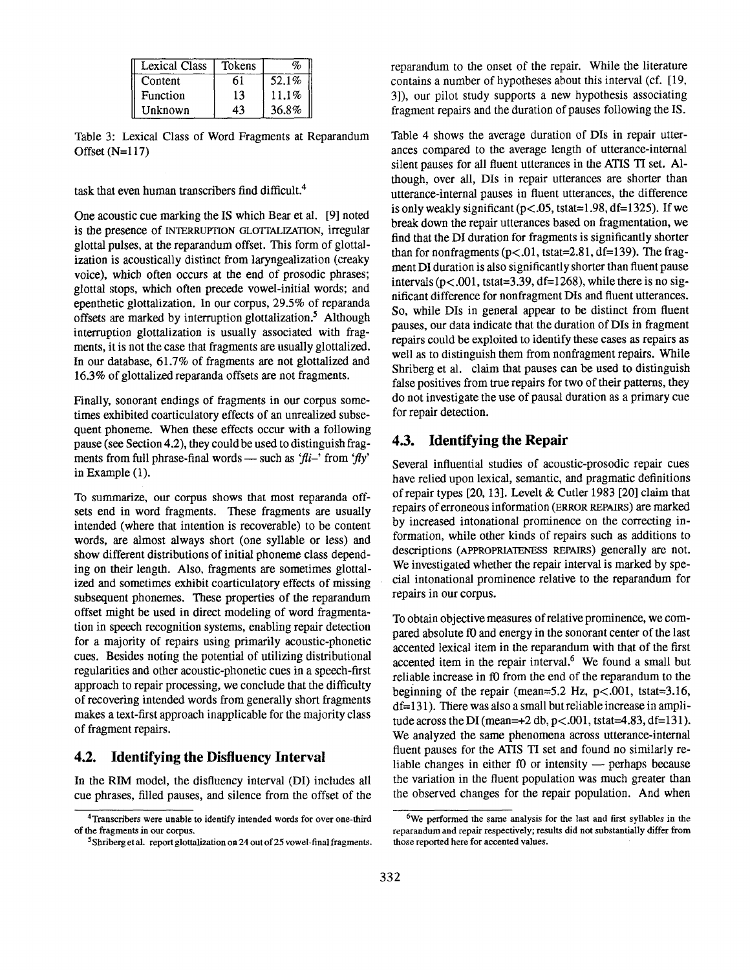| <b>Lexical Class</b> | Tokens |       |
|----------------------|--------|-------|
| Content              |        | 52.1% |
| Function             | 13     | 11.1% |
| Unknown              | 43     | 36.8% |

Table 3: Lexical Class of Word Fragments at Reparandum Offset (N=117)

task that even human transcribers find difficult. 4

One acoustic cue marking the IS which Bear et al. [9] noted is the presence of INTERRUPTION GLOTFALIZATION, irregular glottal pulses, at the reparandum offset. This form of glottalization is acoustically distinct from laryngealization (creaky voice), which often occurs at the end of prosodic phrases; glottal stops, which often precede vowel-initial words; and epenthetic glottalization. In our corpus, 29.5% of reparanda offsets are marked by interruption glottalization.<sup>5</sup> Although interruption glottalization is usually associated with fragments, it is not the case that fragments are usually glottalized. In our database, 61.7% of fragments are not glottalized and 16.3% of glottalized reparanda offsets are not fragments.

Finally, sonorant endings of fragments in our corpus sometimes exhibited coarticulatory effects of an unrealized subsequent phoneme. When these effects occur with a following pause (see Section 4.2), they could be used to distinguish fragments from full phrase-final words — such as 'fli-' from 'fly' in Example (1).

To summarize, our corpus shows that most reparanda offsets end in word fragments. These fragments are usually intended (where that intention is recoverable) to be content words, are almost always short (one syllable or less) and show different distributions of initial phoneme class depending on their length. Also, fragments are sometimes glottalized and sometimes exhibit coarticulatory effects of missing subsequent phonemes. These properties of the reparandum offset might be used in direct modeling of word fragmentation in speech recognition systems, enabling repair detection for a majority of repairs using primarily acoustic-phonetic cues. Besides noting the potential of utilizing distributional regularities and other acoustic-phonetic cues in a speech-first approach to repair processing, we conclude that the difficulty of recovering intended words from generally short fragments makes a text-first approach inapplicable for the majority class of fragment repairs.

## **4.2. Identifying the Disflueney Interval**

In the RIM model, the disfluency interval (DI) includes all cue phrases, filled pauses, and silence from the offset of the reparandum to the onset of the repair. While the literature contains a number of hypotheses about this interval (cf. [19, 3]), our pilot study supports a new hypothesis associating fragment repairs and the duration of pauses following the IS.

Table 4 shows the average duration of Dis in repair utterances compared to the average length of utterance-internal silent pauses for all fluent utterances in the ATIS TI set. Although, over all, Dis in repair utterances are shorter than utterance-internal pauses in fluent utterances, the difference is only weakly significant ( $p < .05$ , tstat=1.98, df=1325). If we break down the repair utterances based on fragmentation, we find that the DI duration for fragments is significantly shorter than for nonfragments  $(p<.01$ , tstat=2.81, df=139). The fragment DI duration is also significantly shorter than fluent pause intervals ( $p < .001$ , tstat=3.39, df=1268), while there is no significant difference for nonfragment DIs and fluent utterances. So, while DIs in general appear to be distinct from fluent pauses, our data indicate that the duration of Dis in fragment repairs could be exploited to identify these cases as repairs as well as to distinguish them from nonfragment repairs. While Shriberg et al. claim that pauses can be used to distinguish false positives from true repairs for two of their patterns, they do not investigate the use of pansal duration as a primary cue for repair detection.

#### **4.3. Identifying the Repair**

Several influential studies of acoustic-prosodic repair cues have relied upon lexical, semantic, and pragmatic definitions of repair types [20, 13]. Levelt & Cutler 1983 [20] claim that repairs of erroneous information (ERROR REPAIRS) are marked by increased intonational prominence on the correcting information, while other kinds of repairs such as additions to descriptions (APPROPRIATENESS REPAIRS) generally are not. We investigated whether the repair interval is marked by special intonational prominence relative to the reparandum for repairs in our corpus.

To obtain objective measures of relative prominence, we compared absolute f0 and energy in the sonorant center of the last accented lexical item in the reparandum with that of the first accented item in the repair interval.<sup>6</sup> We found a small but reliable increase in f0 from the end of the reparandum to the beginning of the repair (mean=5.2 Hz,  $p < .001$ , tstat=3.16, df= 131). There was also a small but reliable increase in amplitude across the DI (mean= $+2$  db,  $p < .001$ , tstat=4.83, df=131). We analyzed the same phenomena across utterance-internal fluent pauses for the ATIS TI set and found no similarly reliable changes in either  $f0$  or intensity  $-$  perhaps because the variation in the fluent population was much greater than the observed changes for the repair population. And when

<sup>4</sup>Transcribers were unable to identify intended words for over one-third of the fragments in our corpus.

<sup>&</sup>lt;sup>5</sup>Shriberg et al. report glottalization on 24 out of 25 vowel-final fragments.

<sup>6</sup>We performed the same analysis for the last and first syllables in the reparandum and repair respectively; results did not substantially differ from those reported here for accented values.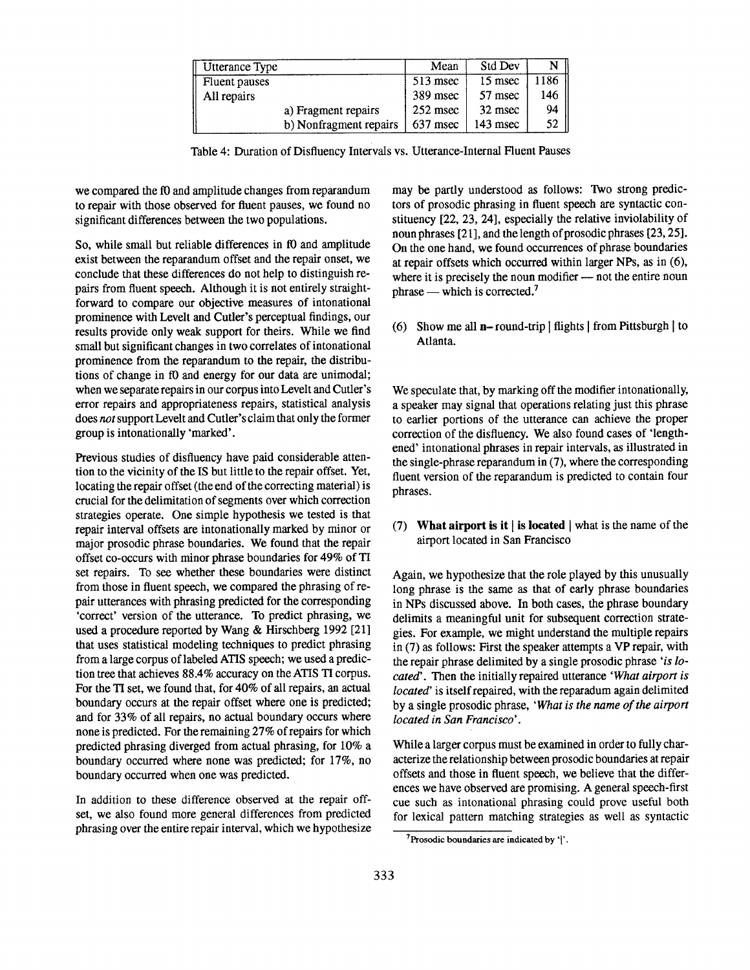| Utterance Type         | Mean       | Std Dev    | N                   |
|------------------------|------------|------------|---------------------|
| Fluent pauses          | $513$ msec | 15 msec    | 186                 |
| All repairs            | 389 msec   | 57 msec    | 146                 |
| a) Fragment repairs    | $252$ msec | 32 msec    | 94 II               |
| b) Nonfragment repairs | 637 msec   | $143$ msec | $\mathbf{I}$<br>52. |

Table 4: Duration of Disfluency Intervals vs. Utterance-Internal Fluent Pauses

we compared the f0 and amplitude changes from reparandum to repair with those observed for fluent pauses, we found no significant differences between the two populations.

So, while small but reliable differences in f0 and amplitude exist between the reparandum offset and the repair onset, we conclude that these differences do not help to distinguish repairs from fluent speech. Although it is not entirely straightforward to compare our objective measures of intonational prominence with Levelt and Cutler's perceptual findings, our results provide only weak support for theirs. While we find small but significant changes in two correlates of intonational prominence from the reparandum to the repair, the distributions of change in f0 and energy for our data are unimodal; when we separate repairs in our corpus into Levelt and Cutler's error repairs and appropriateness repairs, statistical analysis does not support Levelt and Cutler's claim that only the former group is intonationally 'marked'.

Previous studies of disfluency have paid considerable attention to the vicinity of the IS but little to the repair offset. Yet, locating the repair offset (the end of the correcting material) is crucial for the delimitation of segments over which correction strategies operate. One simple hypothesis we tested is that repair interval offsets are intonationally marked by minor or major prosodic phrase boundaries. We found that the repair offset co-occurs with minor phrase boundaries for 49% of TI set repairs. To see whether these boundaries were distinct from those in fluent speech, we compared the phrasing of repair utterances with phrasing predicted for the corresponding 'correct' version of the utterance. To predict phrasing, we used a procedure reported by Wang & Hirschberg 1992 [21] that uses statistical modeling techniques to predict phrasing from a large corpus of labeled ATIS speech; we used a prediction tree that achieves 88.4% accuracy on the ATIS TI corpus. For the TI set, we found that, for 40% of all repairs, an actual boundary occurs at the repair offset where one is predicted; and for 33% of all repairs, no actual boundary occurs where none is predicted. For the remaining 27% of repairs for which predicted phrasing diverged from actual phrasing, for 10% a boundary occurred where none was predicted; for 17%, no boundary occurred when one was predicted.

In addition to these difference observed at the repair offset, we also found more general differences from predicted phrasing over the entire repair interval, which we hypothesize

may be partly understood as follows: Two strong predictors of prosodic phrasing in fluent speech are syntactic constituency [22, 23, 24], especially the relative inviolability of noun phrases [21], and the length of prosodic phrases [23, 25]. On the one hand, we found occurrences of phrase boundaries at repair offsets which occurred within larger NPs, as in (6), where it is precisely the noun modifier  $-$  not the entire noun phrase  $-$  which is corrected.<sup>7</sup>

(6) Show me all **n**–round-trip | flights | from Pittsburgh  $\vert$  to Atlanta.

We speculate that, by marking off the modifier intonationally, a speaker may signal that operations relating just this phrase to earlier portions of the utterance can achieve the proper correction of the disfluency. We also found cases of 'lengthened' intonational phrases in repair intervals, as illustrated in the single-phrase reparandum in (7), where the corresponding fluent version of the reparandum is predicted to contain four phrases.

(7) What airport is it  $\vert$  is located  $\vert$  what is the name of the airport located in San Francisco

Again, we hypothesize that the role played by this unusually long phrase is the same as that of early phrase boundaries in NPs discussed above. In both cases, the phrase boundary delimits a meaningful unit for subsequent correction strategies. For example, we might understand the multiple repairs in (7) as follows: First the speaker attempts a VP repair, with the repair phrase delimited by a single prosodic phrase *'is located'.* Then the initially repaired utterance *'What airport is located"* is itself repaired, with the reparadum again delimited by a single prosodic phrase, *'What is the name of the airport located in San Francisco'.* 

While a larger corpus must be examined in order to fully characterize the relationship between prosodic boundaries at repair offsets and those in fluent speech, we believe that the differences we have observed are promising. A general speech-first cue such as intonational phrasing could prove useful both for lexical pattern matching strategies as well as syntactic

 $7$ Prosodic boundaries are indicated by '|'.